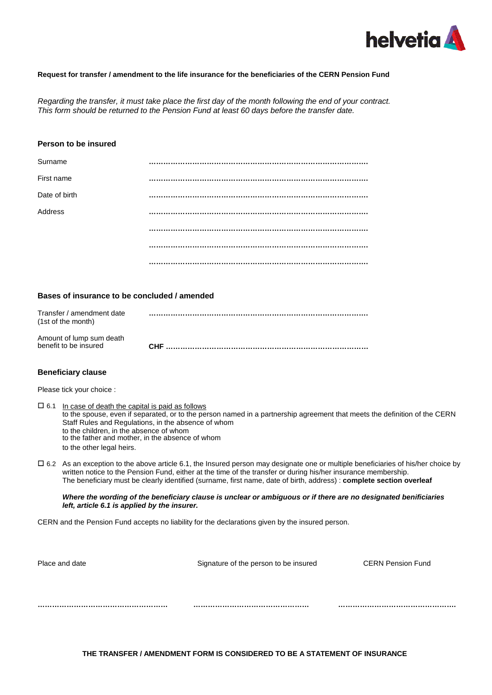

## **Request for transfer / amendment to the life insurance for the beneficiaries of the CERN Pension Fund**

*Regarding the transfer, it must take place the first day of the month following the end of your contract. This form should be returned to the Pension Fund at least 60 days before the transfer date.*

## **Person to be insured**

| Surname       |  |
|---------------|--|
| First name    |  |
| Date of birth |  |
| Address       |  |
|               |  |
|               |  |
|               |  |

# **Bases of insurance to be concluded / amended**

| Transfer / amendment date<br>(1st of the month) |      |
|-------------------------------------------------|------|
| Amount of lump sum death                        | CHF. |
| benefit to be insured                           |      |

#### **Beneficiary clause**

Please tick your choice :

| $\Box$ 6.1 In case of death the capital is paid as follows                                                                |
|---------------------------------------------------------------------------------------------------------------------------|
| to the spouse, even if separated, or to the person named in a partnership agreement that meets the definition of the CERN |
| Staff Rules and Regulations, in the absence of whom                                                                       |
| to the children, in the absence of whom                                                                                   |
| to the father and mother, in the absence of whom                                                                          |
| to the other legal heirs.                                                                                                 |

⃞ 6.2 As an exception to the above article 6.1, the Insured person may designate one or multiple beneficiaries of his/her choice by written notice to the Pension Fund, either at the time of the transfer or during his/her insurance membership. The beneficiary must be clearly identified (surname, first name, date of birth, address) : **complete section overleaf**

#### *Where the wording of the beneficiary clause is unclear or ambiguous or if there are no designated benificiaries left, article 6.1 is applied by the insurer.*

CERN and the Pension Fund accepts no liability for the declarations given by the insured person.

| Place and date | Signature of the person to be insured | <b>CERN Pension Fund</b> |
|----------------|---------------------------------------|--------------------------|
|                |                                       |                          |
|                |                                       |                          |
|                |                                       |                          |
|                |                                       |                          |